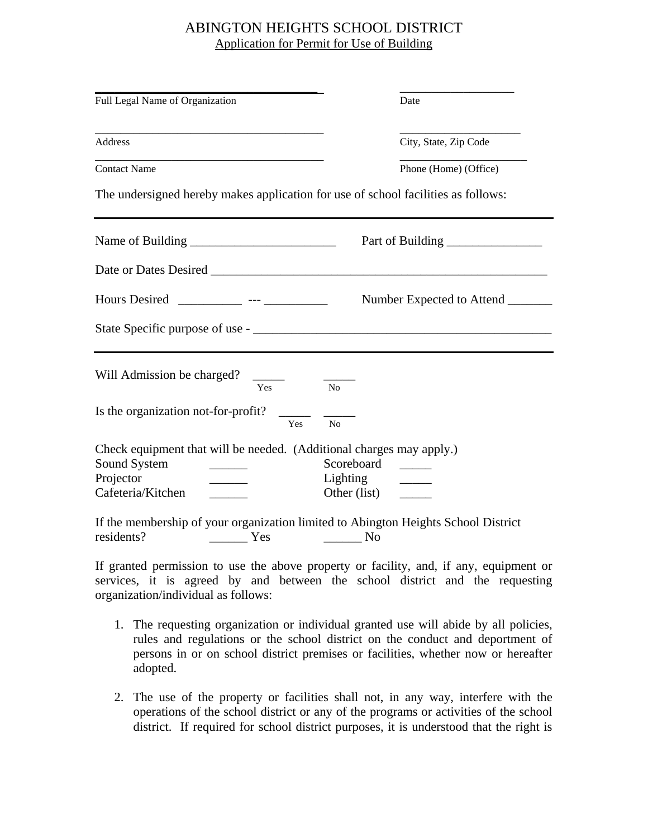## ABINGTON HEIGHTS SCHOOL DISTRICT Application for Permit for Use of Building

| Full Legal Name of Organization                                                                                        | Date                                                                                     |
|------------------------------------------------------------------------------------------------------------------------|------------------------------------------------------------------------------------------|
| Address                                                                                                                | City, State, Zip Code                                                                    |
| <b>Contact Name</b>                                                                                                    | Phone (Home) (Office)                                                                    |
|                                                                                                                        | The undersigned hereby makes application for use of school facilities as follows:        |
|                                                                                                                        | Part of Building                                                                         |
|                                                                                                                        |                                                                                          |
|                                                                                                                        | Hours Desired ____________ --- _____________ Number Expected to Attend ________          |
|                                                                                                                        |                                                                                          |
| Will Admission be charged?<br>$\frac{1}{2}$<br>Yes                                                                     | No                                                                                       |
| Is the organization not-for-profit?<br>Yes                                                                             | N <sub>o</sub>                                                                           |
| Check equipment that will be needed. (Additional charges may apply.)<br>Sound System<br>Projector<br>Cafeteria/Kitchen | Scoreboard<br>Lighting<br>Other (list)                                                   |
| residents?<br>Yes                                                                                                      | If the membership of your organization limited to Abington Heights School District<br>No |

If granted permission to use the above property or facility, and, if any, equipment or services, it is agreed by and between the school district and the requesting organization/individual as follows:

- 1. The requesting organization or individual granted use will abide by all policies, rules and regulations or the school district on the conduct and deportment of persons in or on school district premises or facilities, whether now or hereafter adopted.
- 2. The use of the property or facilities shall not, in any way, interfere with the operations of the school district or any of the programs or activities of the school district. If required for school district purposes, it is understood that the right is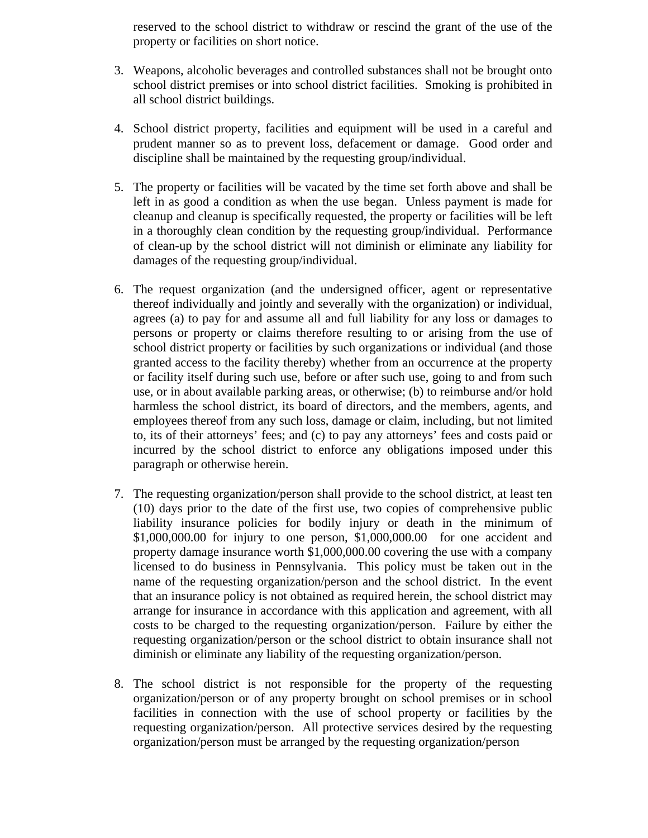reserved to the school district to withdraw or rescind the grant of the use of the property or facilities on short notice.

- 3. Weapons, alcoholic beverages and controlled substances shall not be brought onto school district premises or into school district facilities. Smoking is prohibited in all school district buildings.
- 4. School district property, facilities and equipment will be used in a careful and prudent manner so as to prevent loss, defacement or damage. Good order and discipline shall be maintained by the requesting group/individual.
- 5. The property or facilities will be vacated by the time set forth above and shall be left in as good a condition as when the use began. Unless payment is made for cleanup and cleanup is specifically requested, the property or facilities will be left in a thoroughly clean condition by the requesting group/individual. Performance of clean-up by the school district will not diminish or eliminate any liability for damages of the requesting group/individual.
- 6. The request organization (and the undersigned officer, agent or representative thereof individually and jointly and severally with the organization) or individual, agrees (a) to pay for and assume all and full liability for any loss or damages to persons or property or claims therefore resulting to or arising from the use of school district property or facilities by such organizations or individual (and those granted access to the facility thereby) whether from an occurrence at the property or facility itself during such use, before or after such use, going to and from such use, or in about available parking areas, or otherwise; (b) to reimburse and/or hold harmless the school district, its board of directors, and the members, agents, and employees thereof from any such loss, damage or claim, including, but not limited to, its of their attorneys' fees; and (c) to pay any attorneys' fees and costs paid or incurred by the school district to enforce any obligations imposed under this paragraph or otherwise herein.
- 7. The requesting organization/person shall provide to the school district, at least ten (10) days prior to the date of the first use, two copies of comprehensive public liability insurance policies for bodily injury or death in the minimum of \$1,000,000.00 for injury to one person, \$1,000,000.00 for one accident and property damage insurance worth \$1,000,000.00 covering the use with a company licensed to do business in Pennsylvania. This policy must be taken out in the name of the requesting organization/person and the school district. In the event that an insurance policy is not obtained as required herein, the school district may arrange for insurance in accordance with this application and agreement, with all costs to be charged to the requesting organization/person. Failure by either the requesting organization/person or the school district to obtain insurance shall not diminish or eliminate any liability of the requesting organization/person.
- 8. The school district is not responsible for the property of the requesting organization/person or of any property brought on school premises or in school facilities in connection with the use of school property or facilities by the requesting organization/person. All protective services desired by the requesting organization/person must be arranged by the requesting organization/person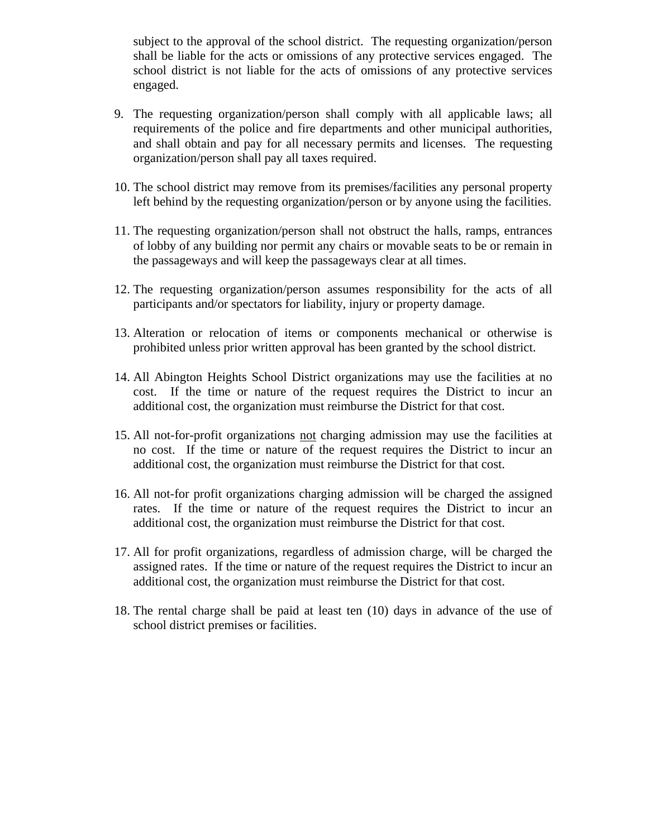subject to the approval of the school district. The requesting organization/person shall be liable for the acts or omissions of any protective services engaged. The school district is not liable for the acts of omissions of any protective services engaged.

- 9. The requesting organization/person shall comply with all applicable laws; all requirements of the police and fire departments and other municipal authorities, and shall obtain and pay for all necessary permits and licenses. The requesting organization/person shall pay all taxes required.
- 10. The school district may remove from its premises/facilities any personal property left behind by the requesting organization/person or by anyone using the facilities.
- 11. The requesting organization/person shall not obstruct the halls, ramps, entrances of lobby of any building nor permit any chairs or movable seats to be or remain in the passageways and will keep the passageways clear at all times.
- 12. The requesting organization/person assumes responsibility for the acts of all participants and/or spectators for liability, injury or property damage.
- 13. Alteration or relocation of items or components mechanical or otherwise is prohibited unless prior written approval has been granted by the school district.
- 14. All Abington Heights School District organizations may use the facilities at no cost. If the time or nature of the request requires the District to incur an additional cost, the organization must reimburse the District for that cost.
- 15. All not-for-profit organizations not charging admission may use the facilities at no cost. If the time or nature of the request requires the District to incur an additional cost, the organization must reimburse the District for that cost.
- 16. All not-for profit organizations charging admission will be charged the assigned rates. If the time or nature of the request requires the District to incur an additional cost, the organization must reimburse the District for that cost.
- 17. All for profit organizations, regardless of admission charge, will be charged the assigned rates. If the time or nature of the request requires the District to incur an additional cost, the organization must reimburse the District for that cost.
- 18. The rental charge shall be paid at least ten (10) days in advance of the use of school district premises or facilities.